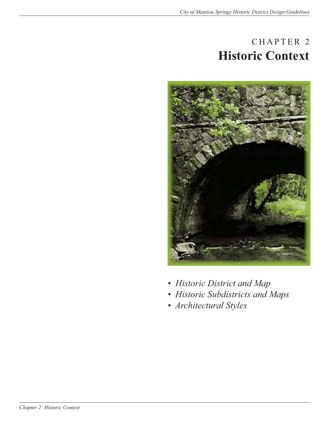### CHAPTER 2 **Historic Context**



- *Historic District and Map*
- *Historic Subdistricts and Maps*
- *Architectural Styles*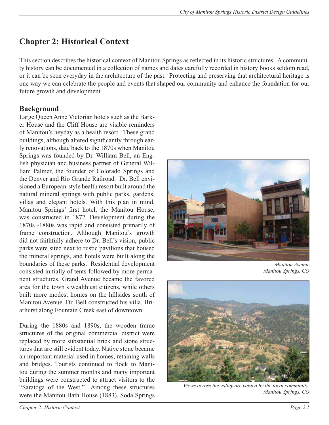### **Chapter 2: Historical Context**

This section describes the historical context of Manitou Springs as reflected in its historic structures. A community history can be documented in a collection of names and dates carefully recorded in history books seldom read, or it can be seen everyday in the architecture of the past. Protecting and preserving that architectural heritage is one way we can celebrate the people and events that shaped our community and enhance the foundation for our future growth and development.

### **Background**

Large Queen Anne Victorian hotels such as the Barker House and the Cliff House are visible reminders of Manitou's heyday as a health resort. These grand buildings, although altered significantly through early renovations, date back to the 1870s when Manitou Springs was founded by Dr. William Bell, an English physician and business partner of General William Palmer, the founder of Colorado Springs and the Denver and Rio Grande Railroad. Dr. Bell envisioned a European-style health resort built around the natural mineral springs with public parks, gardens, villas and elegant hotels. With this plan in mind, Manitou Springs' first hotel, the Manitou House, was constructed in 1872. Development during the 1870s -1880s was rapid and consisted primarily of frame construction. Although Manitou's growth did not faithfully adhere to Dr. Bell's vision, public parks were sited next to rustic pavilions that housed the mineral springs, and hotels were built along the boundaries of these parks. Residential development consisted initially of tents followed by more permanent structures. Grand Avenue became the favored area for the town's wealthiest citizens, while others built more modest homes on the hillsides south of Manitou Avenue. Dr. Bell constructed his villa, Briarhurst along Fountain Creek east of downtown.

During the 1880s and 1890s, the wooden frame structures of the original commercial district were replaced by more substantial brick and stone structures that are still evident today. Native stone became an important material used in homes, retaining walls and bridges. Tourists continued to flock to Manitou during the summer months and many important buildings were constructed to attract visitors to the "Saratoga of the West." Among these structures were the Manitou Bath House (1883), Soda Springs



*Manitou Avenue Manitou Springs, CO*



*Views across the valley are valued by the local community. Manitou Springs, CO*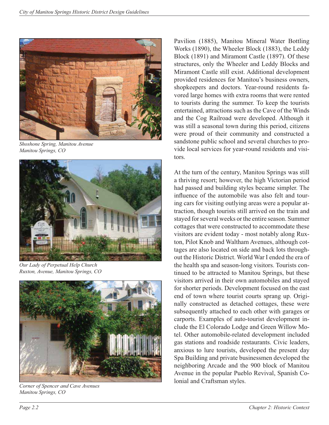

*Shoshone Spring, Manitou Avenue Manitou Springs, CO*



*Our Lady of Perpetual Help Church Ruxton, Avenue, Manitou Springs, CO*



*Corner of Spencer and Cave Avenues Manitou Springs, CO*

Pavilion (1885), Manitou Mineral Water Bottling Works (1890), the Wheeler Block (1883), the Leddy Block (1891) and Miramont Castle (1897). Of these structures, only the Wheeler and Leddy Blocks and Miramont Castle still exist. Additional development provided residences for Manitou's business owners, shopkeepers and doctors. Year-round residents favored large homes with extra rooms that were rented to tourists during the summer. To keep the tourists entertained, attractions such as the Cave of the Winds and the Cog Railroad were developed. Although it was still a seasonal town during this period, citizens were proud of their community and constructed a sandstone public school and several churches to provide local services for year-round residents and visitors.

At the turn of the century, Manitou Springs was still a thriving resort; however, the high Victorian period had passed and building styles became simpler. The influence of the automobile was also felt and touring cars for visiting outlying areas were a popular attraction, though tourists still arrived on the train and stayed for several weeks or the entire season. Summer cottages that were constructed to accommodate these visitors are evident today - most notably along Ruxton, Pilot Knob and Waltham Avenues, although cottages are also located on side and back lots throughout the Historic District. World War I ended the era of the health spa and season-long visitors. Tourists continued to be attracted to Manitou Springs, but these visitors arrived in their own automobiles and stayed for shorter periods. Development focused on the east end of town where tourist courts sprang up. Originally constructed as detached cottages, these were subsequently attached to each other with garages or carports. Examples of auto-tourist development include the El Colorado Lodge and Green Willow Motel. Other automobile-related development included gas stations and roadside restaurants. Civic leaders, anxious to lure tourists, developed the present day Spa Building and private businessmen developed the neighboring Arcade and the 900 block of Manitou Avenue in the popular Pueblo Revival, Spanish Colonial and Craftsman styles.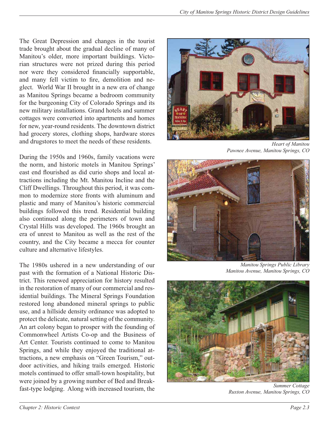The Great Depression and changes in the tourist trade brought about the gradual decline of many of Manitou's older, more important buildings. Victorian structures were not prized during this period nor were they considered financially supportable, and many fell victim to fire, demolition and neglect. World War II brought in a new era of change as Manitou Springs became a bedroom community for the burgeoning City of Colorado Springs and its new military installations. Grand hotels and summer cottages were converted into apartments and homes for new, year-round residents. The downtown district had grocery stores, clothing shops, hardware stores and drugstores to meet the needs of these residents.

During the 1950s and 1960s, family vacations were the norm, and historic motels in Manitou Springs' east end flourished as did curio shops and local attractions including the Mt. Manitou Incline and the Cliff Dwellings. Throughout this period, it was common to modernize store fronts with aluminum and plastic and many of Manitou's historic commercial buildings followed this trend. Residential building also continued along the perimeters of town and Crystal Hills was developed. The 1960s brought an era of unrest to Manitou as well as the rest of the country, and the City became a mecca for counter culture and alternative lifestyles.

The 1980s ushered in a new understanding of our past with the formation of a National Historic District. This renewed appreciation for history resulted in the restoration of many of our commercial and residential buildings. The Mineral Springs Foundation restored long abandoned mineral springs to public use, and a hillside density ordinance was adopted to protect the delicate, natural setting of the community. An art colony began to prosper with the founding of Commonwheel Artists Co-op and the Business of Art Center. Tourists continued to come to Manitou Springs, and while they enjoyed the traditional attractions, a new emphasis on "Green Tourism," outdoor activities, and hiking trails emerged. Historic motels continued to offer small-town hospitality, but were joined by a growing number of Bed and Breakfast-type lodging. Along with increased tourism, the



*Heart of Manitou Pawnee Avenue, Manitou Springs, CO*



*Manitou Springs Public Library Manitou Avenue, Manitou Springs, CO*



*Summer Cottage Ruxton Avenue, Manitou Springs, CO*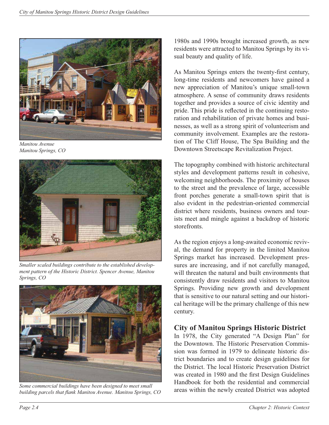

*Manitou Avenue Manitou Springs, CO*



*Smaller scaled buildings contribute to the established development pattern of the Historic District. Spencer Avenue, Manitou Springs, CO*



*Some commercial buildings have been designed to meet small*  building parcels that flank Manitou Avenue. Manitou Springs, CO

1980s and 1990s brought increased growth, as new residents were attracted to Manitou Springs by its visual beauty and quality of life.

As Manitou Springs enters the twenty-first century, long-time residents and newcomers have gained a new appreciation of Manitou's unique small-town atmosphere. A sense of community draws residents together and provides a source of civic identity and pride. This pride is reflected in the continuing restoration and rehabilitation of private homes and businesses, as well as a strong spirit of volunteerism and community involvement. Examples are the restoration of The Cliff House, The Spa Building and the Downtown Streetscape Revitalization Project.

The topography combined with historic architectural styles and development patterns result in cohesive, welcoming neighborhoods. The proximity of houses to the street and the prevalence of large, accessible front porches generate a small-town spirit that is also evident in the pedestrian-oriented commercial district where residents, business owners and tourists meet and mingle against a backdrop of historic storefronts.

As the region enjoys a long-awaited economic revival, the demand for property in the limited Manitou Springs market has increased. Development pressures are increasing, and if not carefully managed, will threaten the natural and built environments that consistently draw residents and visitors to Manitou Springs. Providing new growth and development that is sensitive to our natural setting and our historical heritage will be the primary challenge of this new century.

### **City of Manitou Springs Historic District**

In 1978, the City generated "A Design Plan" for the Downtown. The Historic Preservation Commission was formed in 1979 to delineate historic district boundaries and to create design guidelines for the District. The local Historic Preservation District was created in 1980 and the first Design Guidelines Handbook for both the residential and commercial areas within the newly created District was adopted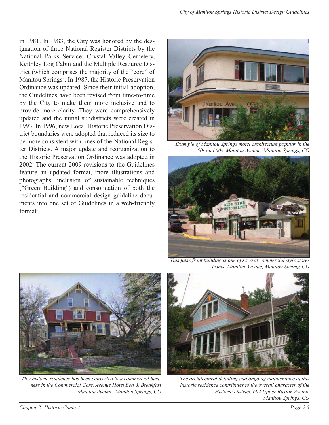in 1981. In 1983, the City was honored by the designation of three National Register Districts by the National Parks Service: Crystal Valley Cemetery, Keithley Log Cabin and the Multiple Resource District (which comprises the majority of the "core" of Manitou Springs). In 1987, the Historic Preservation Ordinance was updated. Since their initial adoption, the Guidelines have been revised from time-to-time by the City to make them more inclusive and to provide more clarity. They were comprehensively updated and the initial subdistricts were created in 1993. In 1996, new Local Historic Preservation District boundaries were adopted that reduced its size to be more consistent with lines of the National Register Districts. A major update and reorganization to the Historic Preservation Ordinance was adopted in 2002. The current 2009 revisions to the Guidelines feature an updated format, more illustrations and photographs, inclusion of sustainable techniques ("Green Building") and consolidation of both the residential and commercial design guideline documents into one set of Guidelines in a web-friendly format.



*Example of Manitou Springs motel architecture popular in the 50s and 60s. Manitou Avenue, Manitou Springs, CO*



*This false front building is one of several commercial style storefronts. Manitou Avenue, Manitou Springs CO*



*This historic residence has been converted to a commercial business in the Commercial Core. Avenue Hotel Bed & Breakfast Manitou Avenue, Manitou Springs, CO*



*The architectural detailing and ongoing maintenance of this historic residence contributes to the overall character of the Historic District. 602 Upper Ruxton Avenue Manitou Springs, CO*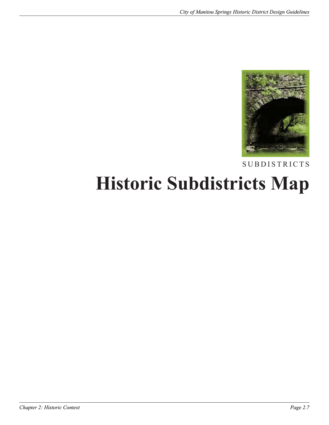

SUBDISTRICTS

## **Historic Subdistricts Map**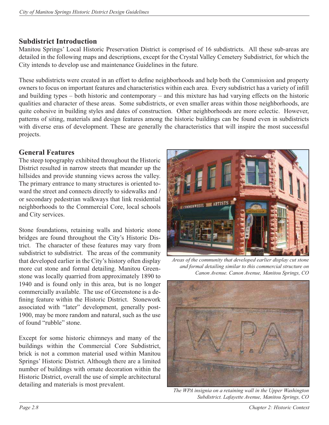### **Subdistrict Introduction**

Manitou Springs' Local Historic Preservation District is comprised of 16 subdistricts. All these sub-areas are detailed in the following maps and descriptions, except for the Crystal Valley Cemetery Subdistrict, for which the City intends to develop use and maintenance Guidelines in the future.

These subdistricts were created in an effort to define neighborhoods and help both the Commission and property owners to focus on important features and characteristics within each area. Every subdistrict has a variety of infill and building types – both historic and contemporary – and this mixture has had varying effects on the historic qualities and character of these areas. Some subdistricts, or even smaller areas within those neighborhoods, are quite cohesive in building styles and dates of construction. Other neighborhoods are more eclectic. However, patterns of siting, materials and design features among the historic buildings can be found even in subdistricts with diverse eras of development. These are generally the characteristics that will inspire the most successful projects.

### **General Features**

The steep topography exhibited throughout the Historic District resulted in narrow streets that meander up the hillsides and provide stunning views across the valley. The primary entrance to many structures is oriented toward the street and connects directly to sidewalks and / or secondary pedestrian walkways that link residential neighborhoods to the Commercial Core, local schools and City services.

Stone foundations, retaining walls and historic stone bridges are found throughout the City's Historic District. The character of these features may vary from subdistrict to subdistrict. The areas of the community that developed earlier in the City's history often display more cut stone and formal detailing. Manitou Greenstone was locally quarried from approximately 1890 to 1940 and is found only in this area, but is no longer commercially available. The use of Greenstone is a defining feature within the Historic District. Stonework associated with "later" development, generally post-1900, may be more random and natural, such as the use of found "rubble" stone.

Except for some historic chimneys and many of the buildings within the Commercial Core Subdistrict, brick is not a common material used within Manitou Springs' Historic District. Although there are a limited number of buildings with ornate decoration within the Historic District, overall the use of simple architectural detailing and materials is most prevalent.



*Areas of the community that developed earlier display cut stone and formal detailing similar to this commercial structure on Canon Avenue. Canon Avenue, Manitou Springs, CO*



*The WPA insignia on a retaining wall in the Upper Washington Subdistrict. Lafayette Avenue, Manitou Springs, CO*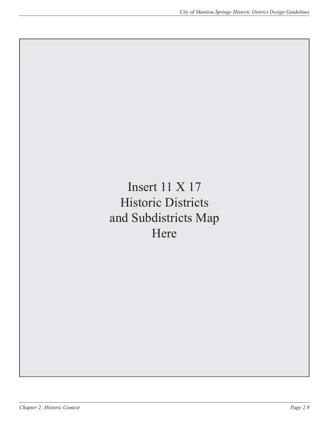Insert 11 X 17 Historic Districts and Subdistricts Map Here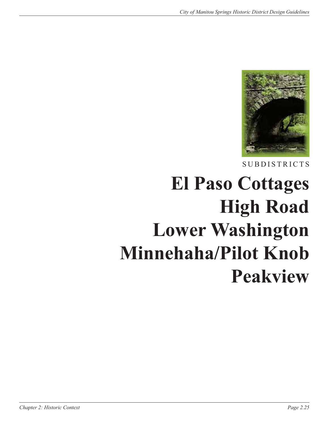

# **El Paso Cottages High Road Lower Washington Minnehaha/Pilot Knob Peakview**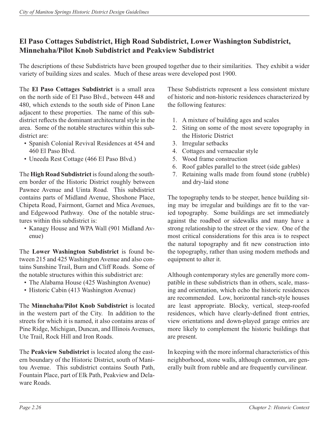### **El Paso Cottages Subdistrict, High Road Subdistrict, Lower Washington Subdistrict, Minnehaha/Pilot Knob Subdistrict and Peakview Subdistrict**

The descriptions of these Subdistricts have been grouped together due to their similarities. They exhibit a wider variety of building sizes and scales. Much of these areas were developed post 1900.

The **El Paso Cottages Subdistrict** is a small area on the north side of El Paso Blvd., between 448 and 480, which extends to the south side of Pinon Lane adjacent to these properties. The name of this subdistrict reflects the dominant architectural style in the area. Some of the notable structures within this subdistrict are:

- Spanish Colonial Revival Residences at 454 and 460 El Paso Blvd.
- Uneeda Rest Cottage (466 El Paso Blvd.)

The **High Road Subdistrict** is found along the southern border of the Historic District roughly between Pawnee Avenue and Uinta Road. This subdistrict contains parts of Midland Avenue, Shoshone Place, Chipeta Road, Fairmont, Garnet and Mica Avenues, and Edgewood Pathway. One of the notable structures within this subdistrict is:

• Kanagy House and WPA Wall (901 Midland Avenue)

The **Lower Washington Subdistrict** is found between 215 and 425 Washington Avenue and also contains Sunshine Trail, Burn and Cliff Roads. Some of the notable structures within this subdistrict are:

- The Alabama House (425 Washington Avenue)
- Historic Cabin (413 Washington Avenue)

The **Minnehaha/Pilot Knob Subdistrict** is located in the western part of the City. In addition to the streets for which it is named, it also contains areas of Pine Ridge, Michigan, Duncan, and Illinois Avenues, Ute Trail, Rock Hill and Iron Roads.

The **Peakview Subdistrict** is located along the eastern boundary of the Historic District, south of Manitou Avenue. This subdistrict contains South Path, Fountain Place, part of Elk Path, Peakview and Delaware Roads.

These Subdistricts represent a less consistent mixture of historic and non-historic residences characterized by the following features:

- 1. A mixture of building ages and scales
- 2. Siting on some of the most severe topography in the Historic District
- 3. Irregular setbacks
- 4. Cottages and vernacular style
- 5. Wood frame construction
- 6. Roof gables parallel to the street (side gables)
- 7. Retaining walls made from found stone (rubble) and dry-laid stone

The topography tends to be steeper, hence building siting may be irregular and buildings are fit to the varied topography. Some buildings are set immediately against the roadbed or sidewalks and many have a strong relationship to the street or the view. One of the most critical considerations for this area is to respect the natural topography and fit new construction into the topography, rather than using modern methods and equipment to alter it.

Although contemporary styles are generally more compatible in these subdistricts than in others, scale, massing and orientation, which echo the historic residences are recommended. Low, horizontal ranch-style houses are least appropriate. Blocky, vertical, steep-roofed residences, which have clearly-defined front entries, view orientations and down-played garage entries are more likely to complement the historic buildings that are present.

In keeping with the more informal characteristics of this neighborhood, stone walls, although common, are generally built from rubble and are frequently curvilinear.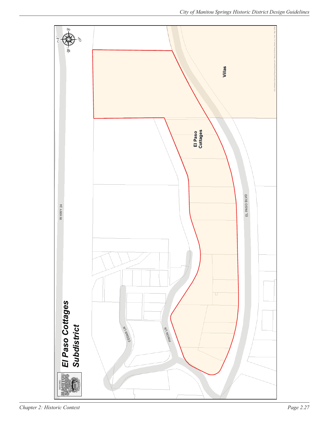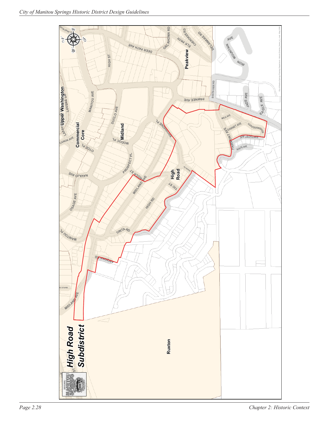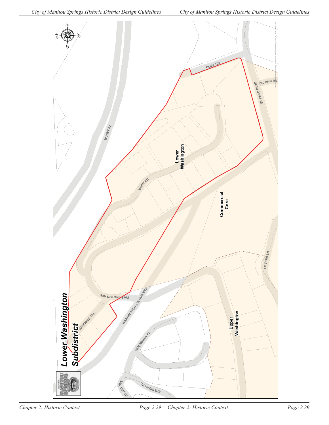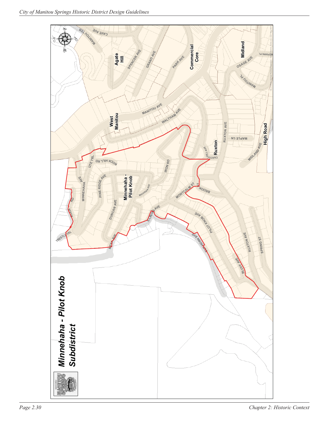